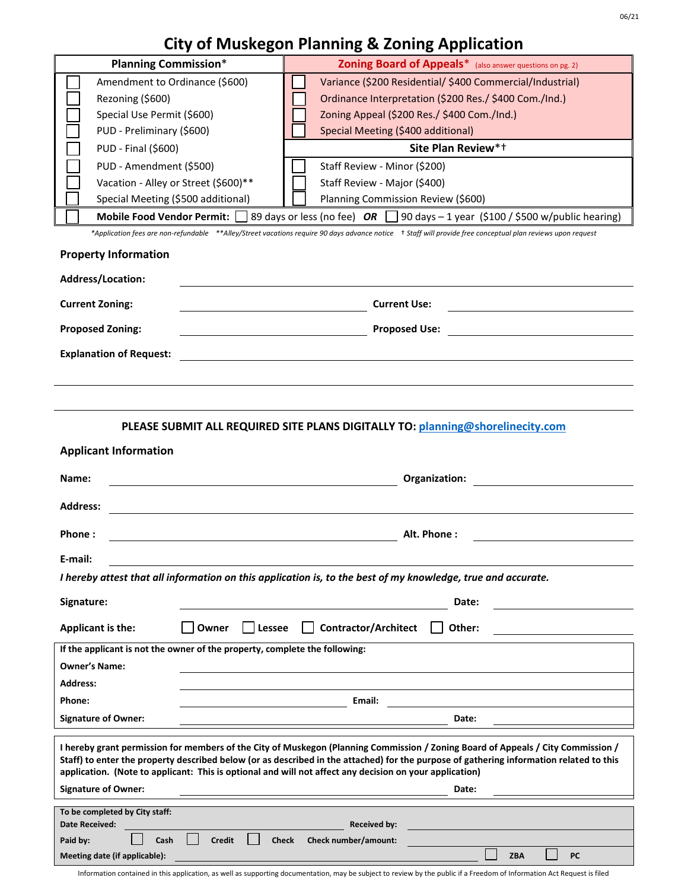## **City of Muskegon Planning & Zoning Application**

| <b>Planning Commission*</b>                                                                                                                                                                                                                                                                                                                                                            | Zoning Board of Appeals* (also answer questions on pg. 2) |
|----------------------------------------------------------------------------------------------------------------------------------------------------------------------------------------------------------------------------------------------------------------------------------------------------------------------------------------------------------------------------------------|-----------------------------------------------------------|
| Amendment to Ordinance (\$600)                                                                                                                                                                                                                                                                                                                                                         | Variance (\$200 Residential/\$400 Commercial/Industrial)  |
| Rezoning (\$600)                                                                                                                                                                                                                                                                                                                                                                       | Ordinance Interpretation (\$200 Res./ \$400 Com./Ind.)    |
| Special Use Permit (\$600)                                                                                                                                                                                                                                                                                                                                                             | Zoning Appeal (\$200 Res./ \$400 Com./Ind.)               |
| PUD - Preliminary (\$600)                                                                                                                                                                                                                                                                                                                                                              | Special Meeting (\$400 additional)                        |
| PUD - Final (\$600)                                                                                                                                                                                                                                                                                                                                                                    | Site Plan Review* <sup>+</sup>                            |
| PUD - Amendment (\$500)                                                                                                                                                                                                                                                                                                                                                                |                                                           |
|                                                                                                                                                                                                                                                                                                                                                                                        | Staff Review - Minor (\$200)                              |
| Vacation - Alley or Street (\$600)**                                                                                                                                                                                                                                                                                                                                                   | Staff Review - Major (\$400)                              |
| Special Meeting (\$500 additional)                                                                                                                                                                                                                                                                                                                                                     | Planning Commission Review (\$600)                        |
| 39 days or less (no fee) $OR \square 90$ days - 1 year (\$100 / \$500 w/public hearing)<br>Mobile Food Vendor Permit:                                                                                                                                                                                                                                                                  |                                                           |
| *Application fees are non-refundable **Alley/Street vacations require 90 days advance notice + Staff will provide free conceptual plan reviews upon request                                                                                                                                                                                                                            |                                                           |
| <b>Property Information</b>                                                                                                                                                                                                                                                                                                                                                            |                                                           |
| Address/Location:                                                                                                                                                                                                                                                                                                                                                                      |                                                           |
| <b>Current Zoning:</b>                                                                                                                                                                                                                                                                                                                                                                 | <b>Current Use:</b>                                       |
| <b>Proposed Zoning:</b>                                                                                                                                                                                                                                                                                                                                                                | <b>Proposed Use:</b>                                      |
|                                                                                                                                                                                                                                                                                                                                                                                        |                                                           |
| <b>Explanation of Request:</b>                                                                                                                                                                                                                                                                                                                                                         |                                                           |
|                                                                                                                                                                                                                                                                                                                                                                                        |                                                           |
|                                                                                                                                                                                                                                                                                                                                                                                        |                                                           |
|                                                                                                                                                                                                                                                                                                                                                                                        |                                                           |
| PLEASE SUBMIT ALL REQUIRED SITE PLANS DIGITALLY TO: planning@shorelinecity.com                                                                                                                                                                                                                                                                                                         |                                                           |
| <b>Applicant Information</b>                                                                                                                                                                                                                                                                                                                                                           |                                                           |
| Name:                                                                                                                                                                                                                                                                                                                                                                                  | Organization:                                             |
|                                                                                                                                                                                                                                                                                                                                                                                        |                                                           |
| <b>Address:</b>                                                                                                                                                                                                                                                                                                                                                                        |                                                           |
| Phone:                                                                                                                                                                                                                                                                                                                                                                                 | Alt. Phone:                                               |
|                                                                                                                                                                                                                                                                                                                                                                                        |                                                           |
| E-mail:                                                                                                                                                                                                                                                                                                                                                                                |                                                           |
| I hereby attest that all information on this application is, to the best of my knowledge, true and accurate.                                                                                                                                                                                                                                                                           |                                                           |
| Signature:                                                                                                                                                                                                                                                                                                                                                                             | Date:                                                     |
| Applicant is the:<br>Owner<br><b>Lessee</b>                                                                                                                                                                                                                                                                                                                                            | Contractor/Architect<br>Other:                            |
| If the applicant is not the owner of the property, complete the following:                                                                                                                                                                                                                                                                                                             |                                                           |
|                                                                                                                                                                                                                                                                                                                                                                                        |                                                           |
| <b>Owner's Name:</b>                                                                                                                                                                                                                                                                                                                                                                   |                                                           |
| <b>Address:</b>                                                                                                                                                                                                                                                                                                                                                                        |                                                           |
| Phone:                                                                                                                                                                                                                                                                                                                                                                                 | Email:                                                    |
| <b>Signature of Owner:</b>                                                                                                                                                                                                                                                                                                                                                             | Date:                                                     |
| I hereby grant permission for members of the City of Muskegon (Planning Commission / Zoning Board of Appeals / City Commission /<br>Staff) to enter the property described below (or as described in the attached) for the purpose of gathering information related to this<br>application. (Note to applicant: This is optional and will not affect any decision on your application) |                                                           |
| <b>Signature of Owner:</b>                                                                                                                                                                                                                                                                                                                                                             | Date:                                                     |
|                                                                                                                                                                                                                                                                                                                                                                                        |                                                           |
| To be completed by City staff:<br>Date Received:                                                                                                                                                                                                                                                                                                                                       | <b>Received by:</b>                                       |
| <b>Credit</b><br>Cash<br>Paid by:                                                                                                                                                                                                                                                                                                                                                      | <b>Check</b><br>Check number/amount:                      |
| Meeting date (if applicable):                                                                                                                                                                                                                                                                                                                                                          | ZBA<br>PC                                                 |
|                                                                                                                                                                                                                                                                                                                                                                                        |                                                           |

Information contained in this application, as well as supporting documentation, may be subject to review by the public if a Freedom of Information Act Request is filed